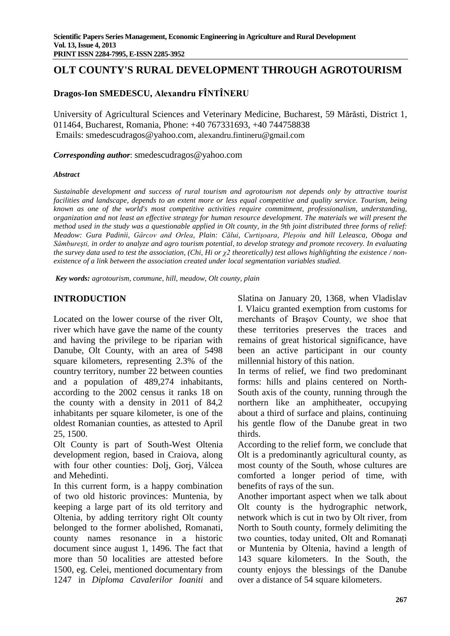# **OLT COUNTY'S RURAL DEVELOPMENT THROUGH AGROTOURISM**

# **Dragos-Ion SMEDESCU, Alexandru FÎNTÎNERU**

University of Agricultural Sciences and Veterinary Medicine, Bucharest, 59 Mărăsti, District 1, 011464, Bucharest, Romania, Phone: +40 767331693, +40 744758838 Emails: [smedescudragos@yahoo.com,](mailto:smedescudragos@yahoo.com) [alexandru.fintineru@gmail.com](mailto:alexandru.fintineru@gmail.com)

*Corresponding author*: [smedescudragos@yahoo.com](mailto:smedescudragos@yahoo.com)

#### *Abstract*

*Sustainable development and success of rural tourism and agrotourism not depends only by attractive tourist facilities and landscape, depends to an extent more or less equal competitive and quality service. Tourism, being known as one of the world's most competitive activities require commitment, professionalism, understanding, organization and not least an effective strategy for human resource development. The materials we will present the method used in the study was a questionable applied in Olt county, in the 9th joint distributed three forms of relief: Meadow: Gura Padinii, Gârcov and Orlea, Plain: Călui, Curtişoara, Pleșoiu and hill Leleasca, Oboga and Sâmbureşti, in order to analyze and agro tourism potential, to develop strategy and promote recovery. In evaluating the survey data used to test the association, (Chi, Hi or χ2 theoretically) test allows highlighting the existence / nonexistence of a link between the association created under local segmentation variables studied.*

*Key words: agrotourism, commune, hill, meadow, Olt county, plain*

# **INTRODUCTION**

Located on the lower course of the river Olt, river which have gave the name of the county and having the privilege to be riparian with Danube, Olt County, with an area of 5498 square kilometers, representing 2.3% of the country territory, number 22 between counties and a population of 489,274 inhabitants, according to the 2002 census it ranks 18 on the county with a density in 2011 of 84,2 inhabitants per square kilometer, is one of the oldest Romanian counties, as attested to April 25, 1500.

Olt County is part of South-West Oltenia development region, based in Craiova, along with four other counties: Dolj, Gorj, Vâlcea and Mehedinti.

In this current form, is a happy combination of two old historic provinces: Muntenia, by keeping a large part of its old territory and Oltenia, by adding territory right Olt county belonged to the former abolished, Romanati, county names resonance in a historic document since august 1, 1496. The fact that more than 50 localities are attested before 1500, eg. Celei, mentioned documentary from 1247 in *Diploma Cavalerilor Ioaniti* and Slatina on January 20, 1368, when Vladislav I. Vlaicu granted exemption from customs for merchants of Brașov County, we shoe that these territories preserves the traces and remains of great historical significance, have been an active participant in our county millennial history of this nation.

In terms of relief, we find two predominant forms: hills and plains centered on North-South axis of the county, running through the northern like an amphitheater, occupying about a third of surface and plains, continuing his gentle flow of the Danube great in two thirds.

According to the relief form, we conclude that Olt is a predominantly agricultural county, as most county of the South, whose cultures are comforted a longer period of time, with benefits of rays of the sun.

Another important aspect when we talk about Olt county is the hydrographic network, network which is cut in two by Olt river, from North to South county, formely delimiting the two counties, today united, Olt and Romanați or Muntenia by Oltenia, havind a length of 143 square kilometers. In the South, the county enjoys the blessings of the Danube over a distance of 54 square kilometers.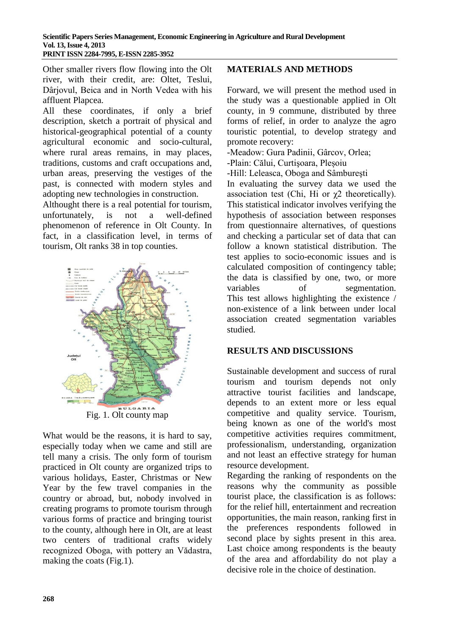Other smaller rivers flow flowing into the Olt river, with their credit, are: Oltet, Teslui, Dârjovul, Beica and in North Vedea with his affluent Plapcea.

All these coordinates, if only a brief description, sketch a portrait of physical and historical-geographical potential of a county agricultural economic and socio-cultural, where rural areas remains, in may places, traditions, customs and craft occupations and, urban areas, preserving the vestiges of the past, is connected with modern styles and adopting new technologies in construction.

Althought there is a real potential for tourism, unfortunately, is not a well-defined phenomenon of reference in Olt County. In fact, in a classification level, in terms of tourism, Olt ranks 38 in top counties.



Fig. 1. Olt county map

What would be the reasons, it is hard to say, especially today when we came and still are tell many a crisis. The only form of tourism practiced in Olt county are organized trips to various holidays, Easter, Christmas or New Year by the few travel companies in the country or abroad, but, nobody involved in creating programs to promote tourism through various forms of practice and bringing tourist to the county, although here in Olt, are at least two centers of traditional crafts widely recognized Oboga, with pottery an Vădastra, making the coats (Fig.1).

# **MATERIALS AND METHODS**

Forward, we will present the method used in the study was a questionable applied in Olt county, in 9 commune, distributed by three forms of relief, in order to analyze the agro touristic potential, to develop strategy and promote recovery:

-Meadow: Gura Padinii, Gârcov, Orlea;

-Plain: Călui, Curtişoara, Pleșoiu

-Hill: Leleasca, Oboga and Sâmbureşti

In evaluating the survey data we used the association test (Chi, Hi or  $\chi$ 2 theoretically). This statistical indicator involves verifying the hypothesis of association between responses from questionnaire alternatives, of questions and checking a particular set of data that can follow a known statistical distribution. The test applies to socio-economic issues and is calculated composition of contingency table; the data is classified by one, two, or more variables of segmentation. This test allows highlighting the existence / non-existence of a link between under local association created segmentation variables studied.

## **RESULTS AND DISCUSSIONS**

Sustainable development and success of rural tourism and tourism depends not only attractive tourist facilities and landscape, depends to an extent more or less equal competitive and quality service. Tourism, being known as one of the world's most competitive activities requires commitment, professionalism, understanding, organization and not least an effective strategy for human resource development.

Regarding the ranking of respondents on the reasons why the community as possible tourist place, the classification is as follows: for the relief hill, entertainment and recreation opportunities, the main reason, ranking first in the preferences respondents followed in second place by sights present in this area. Last choice among respondents is the beauty of the area and affordability do not play a decisive role in the choice of destination.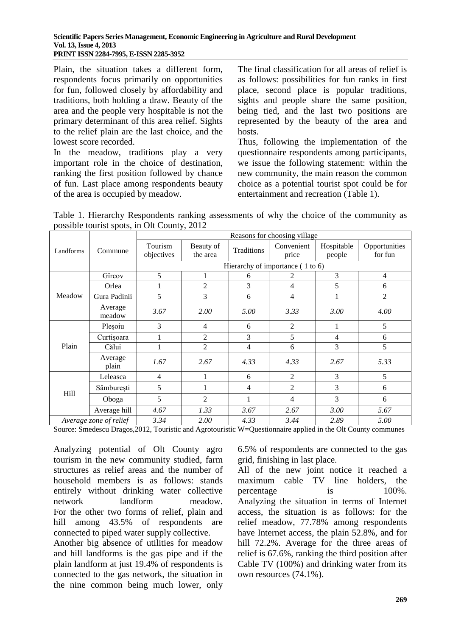Plain, the situation takes a different form, respondents focus primarily on opportunities for fun, followed closely by affordability and traditions, both holding a draw. Beauty of the area and the people very hospitable is not the primary determinant of this area relief. Sights to the relief plain are the last choice, and the lowest score recorded.

In the meadow, traditions play a very important role in the choice of destination, ranking the first position followed by chance of fun. Last place among respondents beauty of the area is occupied by meadow.

The final classification for all areas of relief is as follows: possibilities for fun ranks in first place, second place is popular traditions, sights and people share the same position, being tied, and the last two positions are represented by the beauty of the area and hosts.

Thus, following the implementation of the questionnaire respondents among participants, we issue the following statement: within the new community, the main reason the common choice as a potential tourist spot could be for entertainment and recreation (Table 1).

Table 1. Hierarchy Respondents ranking assessments of why the choice of the community as possible tourist spots, in Olt County, 2012

|                        | Commune           | Reasons for choosing village |                       |            |                                    |                      |                          |  |
|------------------------|-------------------|------------------------------|-----------------------|------------|------------------------------------|----------------------|--------------------------|--|
| Landforms              |                   | Tourism<br>objectives        | Beauty of<br>the area | Traditions | Convenient<br>price                | Hospitable<br>people | Opportunities<br>for fun |  |
|                        |                   |                              |                       |            | Hierarchy of importance $(1 to 6)$ |                      |                          |  |
| Meadow                 | Gîrcov            | 5                            |                       | 6          | 2                                  | 3                    | $\overline{4}$           |  |
|                        | Orlea             |                              | $\overline{c}$        | 3          | 4                                  | 5                    | 6                        |  |
|                        | Gura Padinii      | 5                            | 3                     | 6          | 4                                  | 1                    | 2                        |  |
|                        | Average<br>meadow | 3.67                         | 2.00                  | 5.00       | 3.33                               | 3.00                 | 4.00                     |  |
| Plain                  | Plesoiu           | 3                            | 4                     | 6          | $\overline{2}$                     | 1                    | 5                        |  |
|                        | Curtișoara        |                              | $\overline{c}$        | 3          | 5                                  | 4                    | 6                        |  |
|                        | Călui             | 1                            | $\overline{2}$        | 4          | 6                                  | 3                    | 5                        |  |
|                        | Average<br>plain  | 1.67                         | 2.67                  | 4.33       | 4.33                               | 2.67                 | 5.33                     |  |
| Hill                   | Leleasca          | $\overline{4}$               |                       | 6          | $\overline{2}$                     | 3                    | 5                        |  |
|                        | Sâmburești        | 5                            |                       | 4          | $\overline{2}$                     | 3                    | 6                        |  |
|                        | Oboga             | 5                            | 2                     |            | 4                                  | 3                    | 6                        |  |
|                        | Average hill      | 4.67                         | 1.33                  | 3.67       | 2.67                               | 3.00                 | 5.67                     |  |
| Average zone of relief |                   | 3.34                         | 2.00                  | 4.33       | 3.44                               | 2.89                 | 5.00                     |  |

Source: Smedescu Dragos,2012, Touristic and Agrotouristic W=Questionnaire applied in the Olt County communes

Analyzing potential of Olt County agro tourism in the new community studied, farm structures as relief areas and the number of household members is as follows: stands entirely without drinking water collective network landform meadow. For the other two forms of relief, plain and hill among 43.5% of respondents are connected to piped water supply collective.

Another big absence of utilities for meadow and hill landforms is the gas pipe and if the plain landform at just 19.4% of respondents is connected to the gas network, the situation in the nine common being much lower, only

6.5% of respondents are connected to the gas grid, finishing in last place.

All of the new joint notice it reached a maximum cable TV line holders, the percentage is  $100\%$ . Analyzing the situation in terms of Internet access, the situation is as follows: for the relief meadow, 77.78% among respondents have Internet access, the plain 52.8%, and for hill 72.2%. Average for the three areas of relief is 67.6%, ranking the third position after Cable TV (100%) and drinking water from its own resources (74.1%).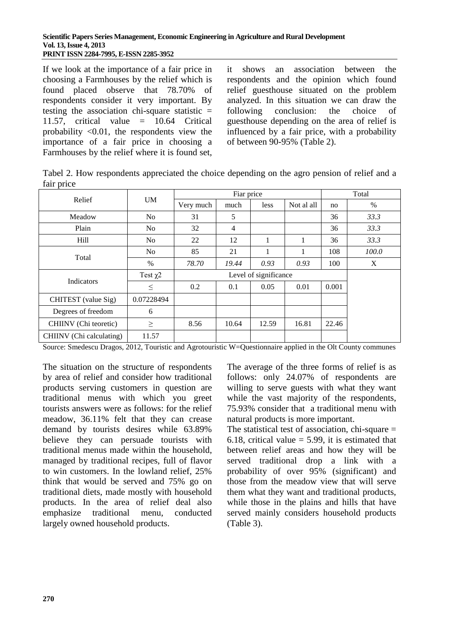If we look at the importance of a fair price in choosing a Farmhouses by the relief which is found placed observe that 78.70% of respondents consider it very important. By testing the association chi-square statistic  $=$ 11.57, critical value  $= 10.64$  Critical probability  $\langle 0.01$ , the respondents view the importance of a fair price in choosing a Farmhouses by the relief where it is found set, it shows an association between the respondents and the opinion which found relief guesthouse situated on the problem analyzed. In this situation we can draw the following conclusion: the choice of guesthouse depending on the area of relief is influenced by a fair price, with a probability of between 90-95% (Table 2).

Tabel 2. How respondents appreciated the choice depending on the agro pension of relief and a fair price

|                          | <b>UM</b>     | Fiar price            |                |             |            | Total |       |
|--------------------------|---------------|-----------------------|----------------|-------------|------------|-------|-------|
| Relief                   |               | Very much             | much           | <i>less</i> | Not al all | no    | $\%$  |
| Meadow                   | No            | 31                    | 5              |             |            | 36    | 33.3  |
| Plain                    | No.           | 32                    | $\overline{4}$ |             |            | 36    | 33.3  |
| Hill                     | No            | 22                    | 12             | 1           |            | 36    | 33.3  |
| Total                    | No.           | 85                    | 21             |             |            | 108   | 100.0 |
|                          | $\%$          | 78.70                 | 19.44          | 0.93        | 0.93       | 100   | X     |
|                          | Test $\chi$ 2 | Level of significance |                |             |            |       |       |
| Indicators               | $\leq$        | 0.2                   | 0.1            | 0.05        | 0.01       | 0.001 |       |
| CHITEST (value Sig)      | 0.07228494    |                       |                |             |            |       |       |
| Degrees of freedom       | 6             |                       |                |             |            |       |       |
| CHIINV (Chi teoretic)    | $\geq$        | 8.56                  | 10.64          | 12.59       | 16.81      | 22.46 |       |
| CHIINV (Chi calculating) | 11.57         |                       |                |             |            |       |       |

Source: Smedescu Dragos, 2012, Touristic and Agrotouristic W=Questionnaire applied in the Olt County communes

The situation on the structure of respondents by area of relief and consider how traditional products serving customers in question are traditional menus with which you greet tourists answers were as follows: for the relief meadow, 36.11% felt that they can crease demand by tourists desires while 63.89% believe they can persuade tourists with traditional menus made within the household, managed by traditional recipes, full of flavor to win customers. In the lowland relief, 25% think that would be served and 75% go on traditional diets, made mostly with household products. In the area of relief deal also emphasize traditional menu, conducted largely owned household products.

The average of the three forms of relief is as follows: only 24.07% of respondents are willing to serve guests with what they want while the vast majority of the respondents, 75.93% consider that a traditional menu with natural products is more important.

The statistical test of association, chi-square  $=$ 6.18, critical value  $=$  5.99, it is estimated that between relief areas and how they will be served traditional drop a link with a probability of over 95% (significant) and those from the meadow view that will serve them what they want and traditional products, while those in the plains and hills that have served mainly considers household products (Table 3).